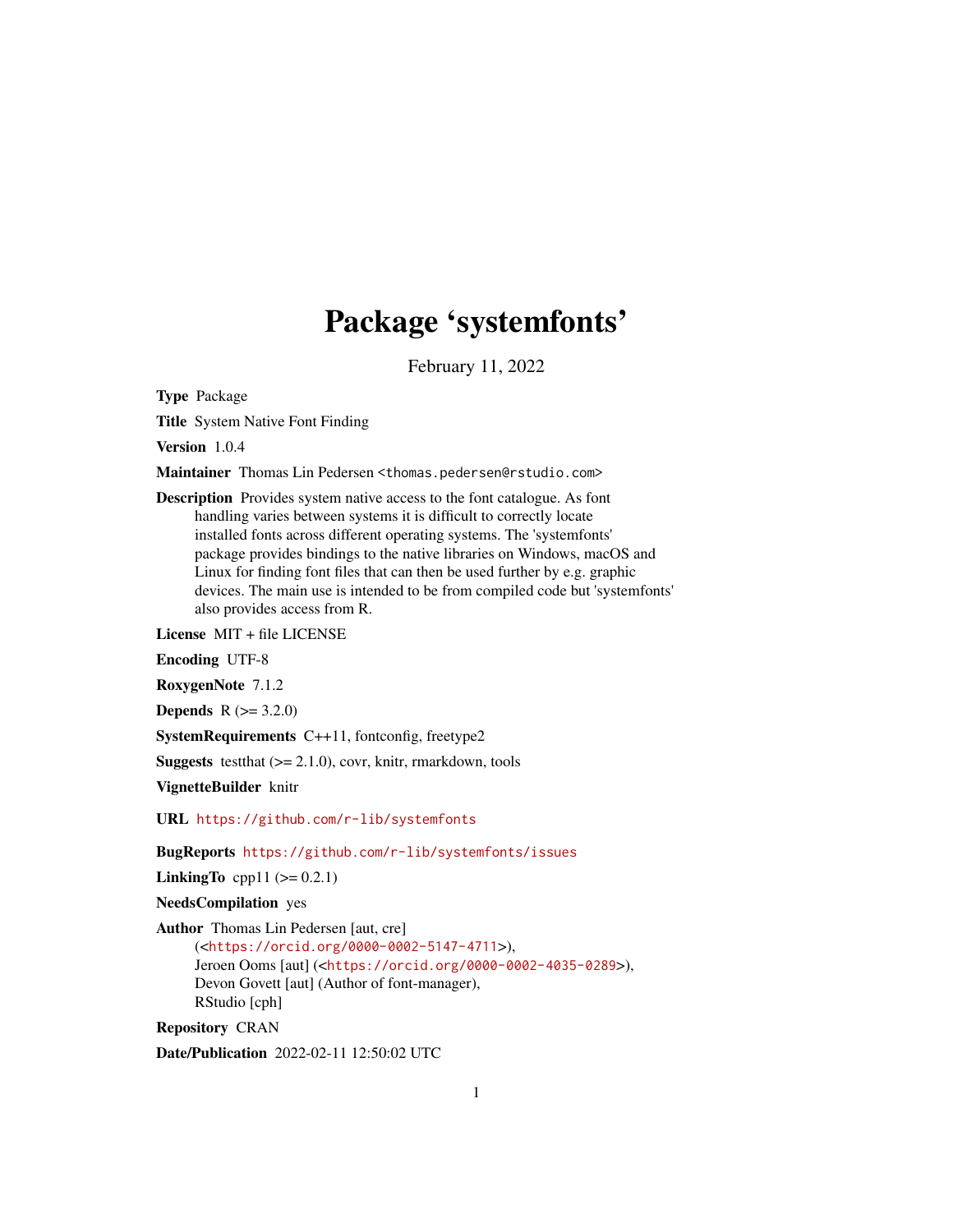# Package 'systemfonts'

February 11, 2022

Type Package

Title System Native Font Finding

Version 1.0.4

Maintainer Thomas Lin Pedersen <thomas.pedersen@rstudio.com>

Description Provides system native access to the font catalogue. As font handling varies between systems it is difficult to correctly locate installed fonts across different operating systems. The 'systemfonts' package provides bindings to the native libraries on Windows, macOS and Linux for finding font files that can then be used further by e.g. graphic devices. The main use is intended to be from compiled code but 'systemfonts' also provides access from R.

License MIT + file LICENSE

Encoding UTF-8

RoxygenNote 7.1.2

**Depends** R  $(>= 3.2.0)$ 

SystemRequirements C++11, fontconfig, freetype2

**Suggests** test that  $(>= 2.1.0)$ , covr, knitr, rmarkdown, tools

VignetteBuilder knitr

URL <https://github.com/r-lib/systemfonts>

BugReports <https://github.com/r-lib/systemfonts/issues>

LinkingTo cpp11  $(>= 0.2.1)$ 

NeedsCompilation yes

Author Thomas Lin Pedersen [aut, cre] (<<https://orcid.org/0000-0002-5147-4711>>), Jeroen Ooms [aut] (<<https://orcid.org/0000-0002-4035-0289>>), Devon Govett [aut] (Author of font-manager), RStudio [cph]

Repository CRAN

Date/Publication 2022-02-11 12:50:02 UTC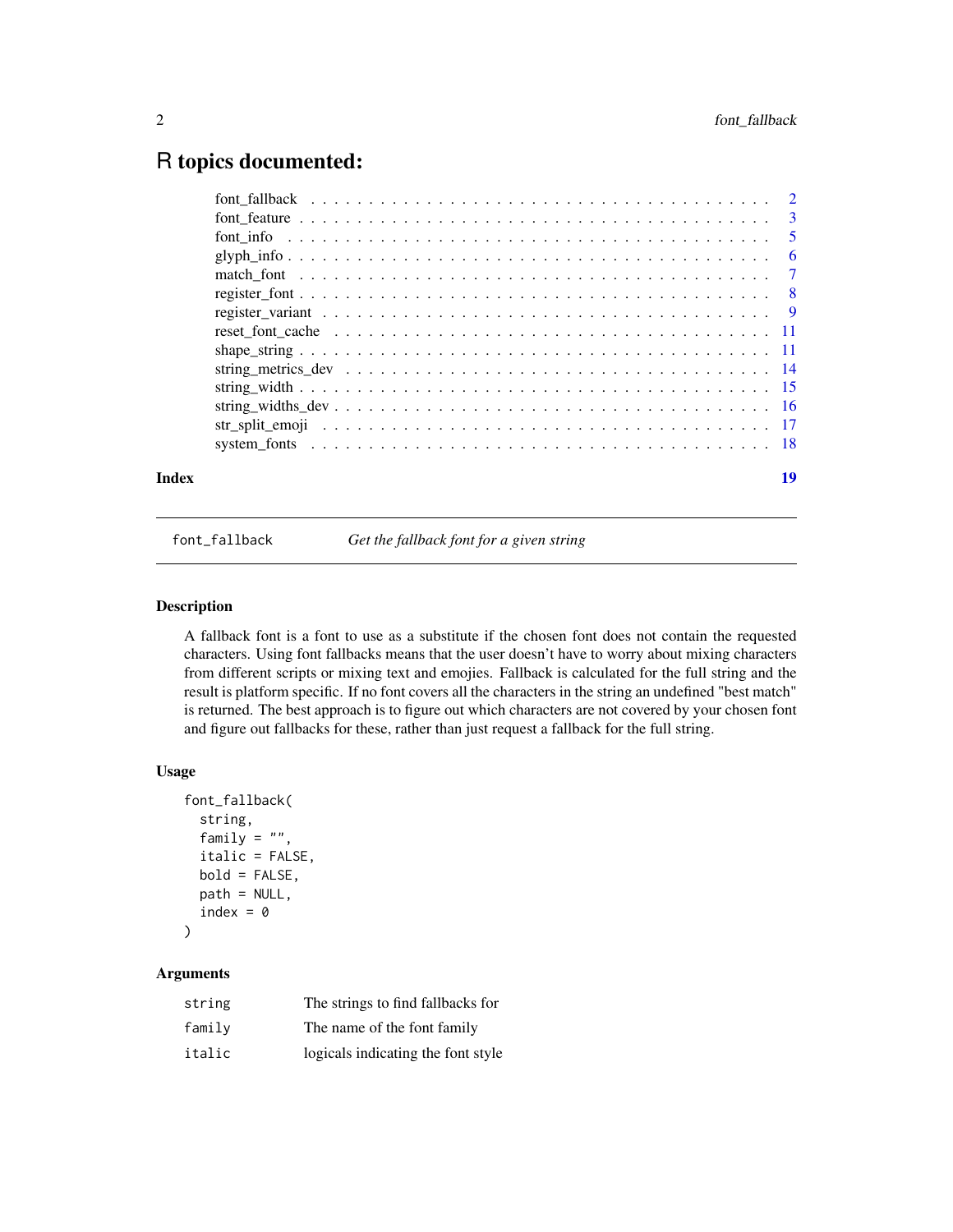# <span id="page-1-0"></span>R topics documented:

| Index | 19 |
|-------|----|

font\_fallback *Get the fallback font for a given string*

# Description

A fallback font is a font to use as a substitute if the chosen font does not contain the requested characters. Using font fallbacks means that the user doesn't have to worry about mixing characters from different scripts or mixing text and emojies. Fallback is calculated for the full string and the result is platform specific. If no font covers all the characters in the string an undefined "best match" is returned. The best approach is to figure out which characters are not covered by your chosen font and figure out fallbacks for these, rather than just request a fallback for the full string.

# Usage

```
font_fallback(
  string,
 family = ",
  italic = FALSE,
 bold = FALSE,
 path = NULL,
  index = 0
```
# )

| string | The strings to find fallbacks for  |
|--------|------------------------------------|
| family | The name of the font family        |
| italic | logicals indicating the font style |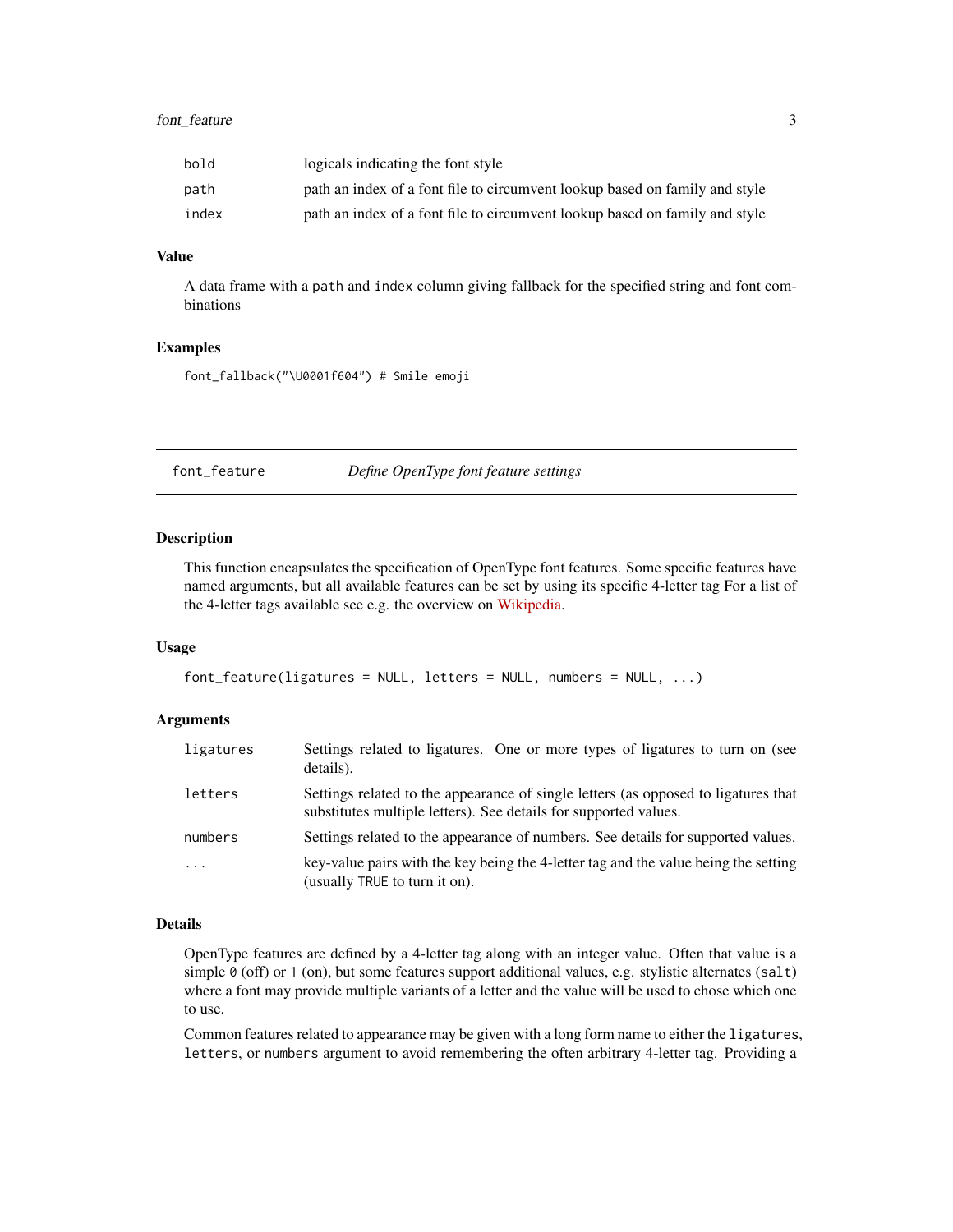# <span id="page-2-0"></span>font\_feature 3

| bold  | logicals indicating the font style                                          |
|-------|-----------------------------------------------------------------------------|
| path  | path an index of a font file to circumvent lookup based on family and style |
| index | path an index of a font file to circumvent lookup based on family and style |

# Value

A data frame with a path and index column giving fallback for the specified string and font combinations

#### Examples

font\_fallback("\U0001f604") # Smile emoji

<span id="page-2-1"></span>font\_feature *Define OpenType font feature settings*

# Description

This function encapsulates the specification of OpenType font features. Some specific features have named arguments, but all available features can be set by using its specific 4-letter tag For a list of the 4-letter tags available see e.g. the overview on [Wikipedia.](https://en.wikipedia.org/wiki/List_of_typographic_features)

#### Usage

```
font_feature(ligatures = NULL, letters = NULL, numbers = NULL, ...)
```
# Arguments

| ligatures | Settings related to ligatures. One or more types of ligatures to turn on (see<br>details).                                                             |
|-----------|--------------------------------------------------------------------------------------------------------------------------------------------------------|
| letters   | Settings related to the appearance of single letters (as opposed to ligatures that<br>substitutes multiple letters). See details for supported values. |
| numbers   | Settings related to the appearance of numbers. See details for supported values.                                                                       |
| $\ddotsc$ | key-value pairs with the key being the 4-letter tag and the value being the setting<br>(usually TRUE to turn it on).                                   |

# Details

OpenType features are defined by a 4-letter tag along with an integer value. Often that value is a simple  $\emptyset$  (off) or 1 (on), but some features support additional values, e.g. stylistic alternates (salt) where a font may provide multiple variants of a letter and the value will be used to chose which one to use.

Common features related to appearance may be given with a long form name to either the ligatures, letters, or numbers argument to avoid remembering the often arbitrary 4-letter tag. Providing a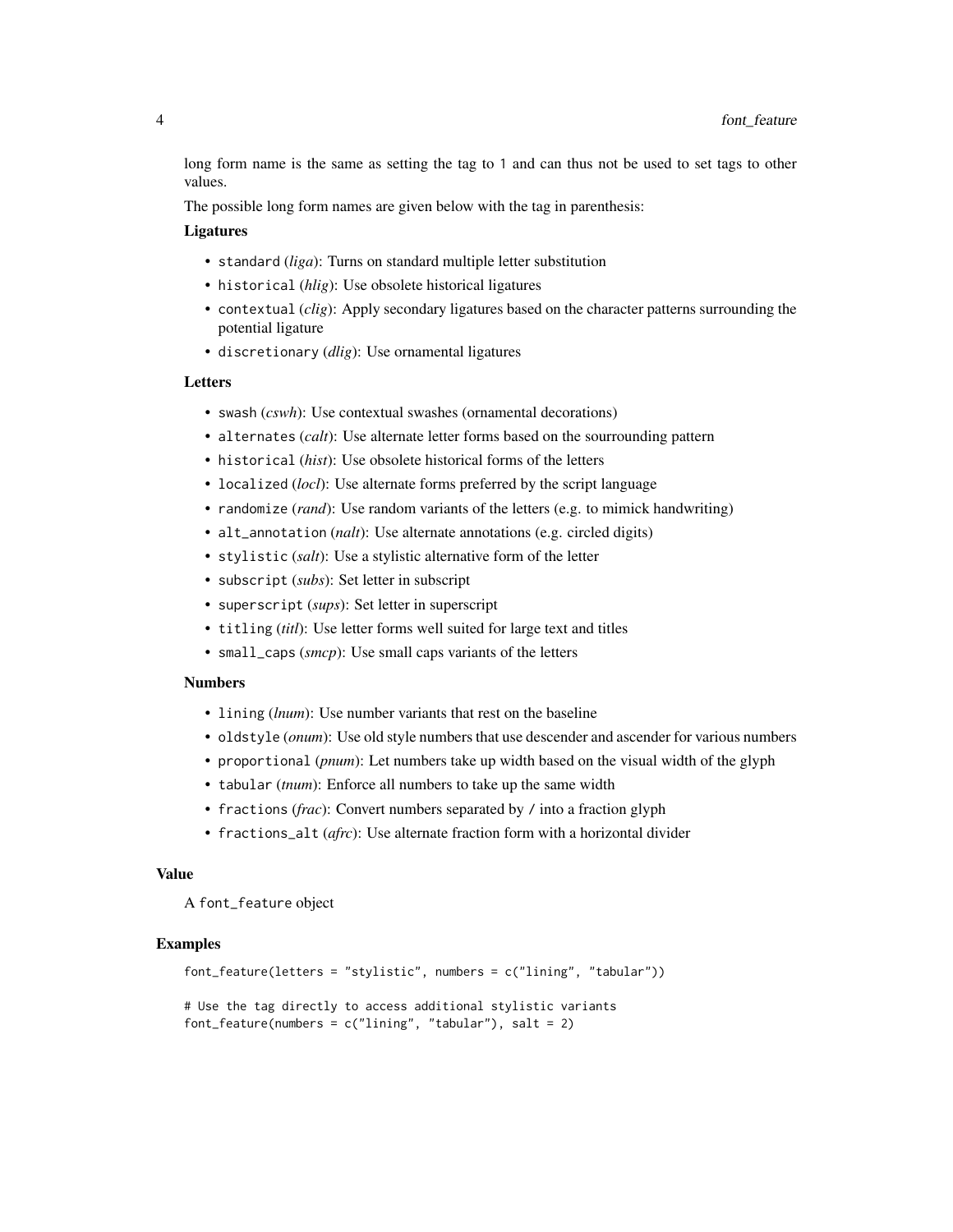long form name is the same as setting the tag to 1 and can thus not be used to set tags to other values.

The possible long form names are given below with the tag in parenthesis:

# Ligatures

- standard (*liga*): Turns on standard multiple letter substitution
- historical (*hlig*): Use obsolete historical ligatures
- contextual (*clig*): Apply secondary ligatures based on the character patterns surrounding the potential ligature
- discretionary (*dlig*): Use ornamental ligatures

# Letters

- swash (*cswh*): Use contextual swashes (ornamental decorations)
- alternates (*calt*): Use alternate letter forms based on the sourrounding pattern
- historical (*hist*): Use obsolete historical forms of the letters
- localized (*locl*): Use alternate forms preferred by the script language
- randomize (*rand*): Use random variants of the letters (e.g. to mimick handwriting)
- alt\_annotation (*nalt*): Use alternate annotations (e.g. circled digits)
- stylistic (*salt*): Use a stylistic alternative form of the letter
- subscript (*subs*): Set letter in subscript
- superscript (*sups*): Set letter in superscript
- titling (*titl*): Use letter forms well suited for large text and titles
- small\_caps (*smcp*): Use small caps variants of the letters

# Numbers

- lining (*lnum*): Use number variants that rest on the baseline
- oldstyle (*onum*): Use old style numbers that use descender and ascender for various numbers
- proportional (*pnum*): Let numbers take up width based on the visual width of the glyph
- tabular (*tnum*): Enforce all numbers to take up the same width
- fractions (*frac*): Convert numbers separated by / into a fraction glyph
- fractions\_alt (*afrc*): Use alternate fraction form with a horizontal divider

#### Value

A font\_feature object

```
font_feature(letters = "stylistic", numbers = c("lining", "tabular"))
# Use the tag directly to access additional stylistic variants
font_feature(numbers = c("lining", "tabular"), salt = 2)
```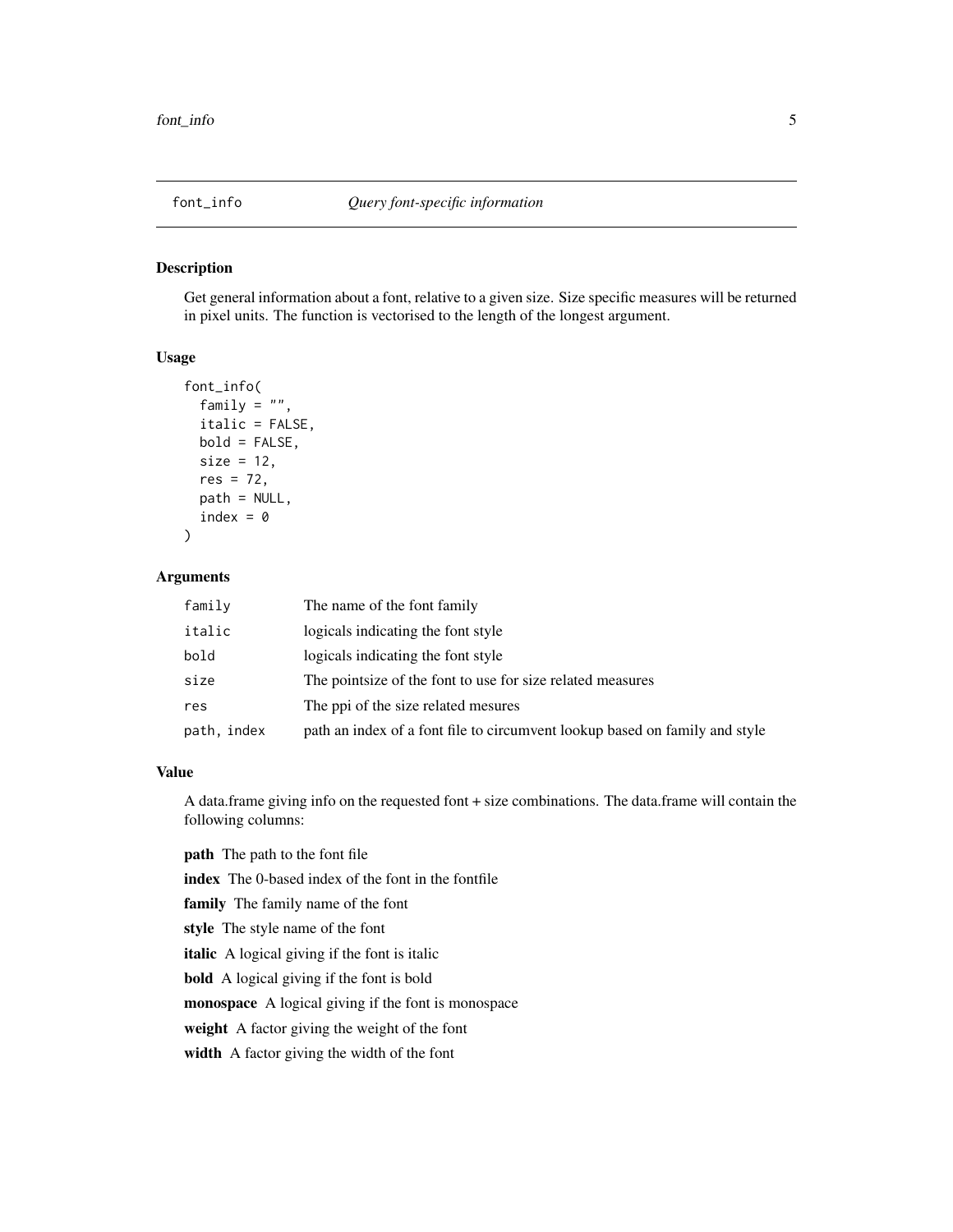<span id="page-4-0"></span>Get general information about a font, relative to a given size. Size specific measures will be returned in pixel units. The function is vectorised to the length of the longest argument.

# Usage

```
font_info(
  family = ",
  italic = FALSE,
 bold = FALSE,
  size = 12,res = 72,
 path = NULL,
  index = 0)
```
#### Arguments

| family      | The name of the font family                                                 |
|-------------|-----------------------------------------------------------------------------|
| italic      | logicals indicating the font style                                          |
| bold        | logicals indicating the font style                                          |
| size        | The point size of the font to use for size related measures                 |
| res         | The ppi of the size related mesures                                         |
| path, index | path an index of a font file to circumvent lookup based on family and style |

# Value

A data.frame giving info on the requested font + size combinations. The data.frame will contain the following columns:

path The path to the font file index The 0-based index of the font in the fontfile family The family name of the font style The style name of the font italic A logical giving if the font is italic bold A logical giving if the font is bold monospace A logical giving if the font is monospace weight A factor giving the weight of the font width A factor giving the width of the font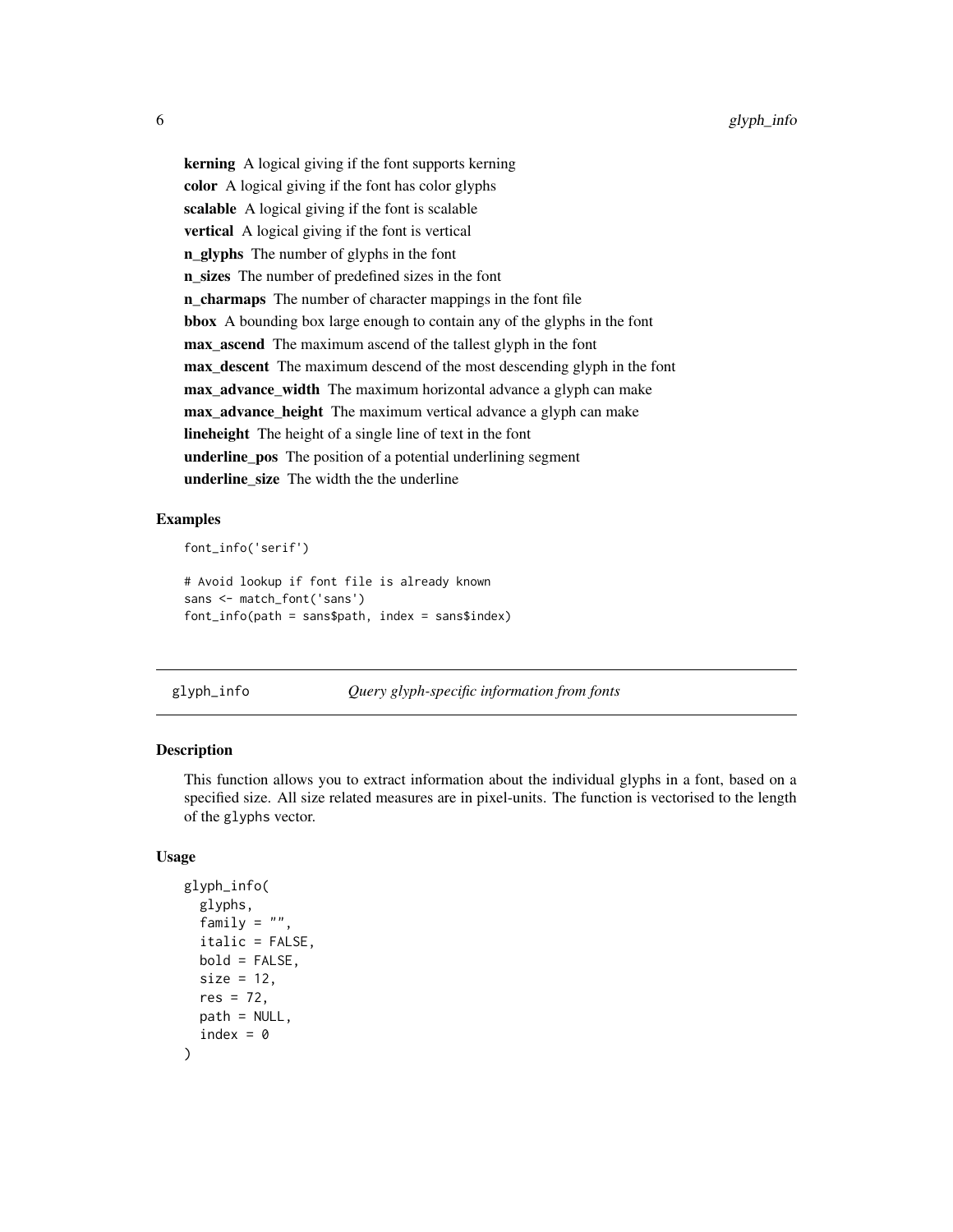<span id="page-5-0"></span>kerning A logical giving if the font supports kerning color A logical giving if the font has color glyphs scalable A logical giving if the font is scalable vertical A logical giving if the font is vertical n\_glyphs The number of glyphs in the font n\_sizes The number of predefined sizes in the font n\_charmaps The number of character mappings in the font file bbox A bounding box large enough to contain any of the glyphs in the font max ascend The maximum ascend of the tallest glyph in the font max\_descent The maximum descend of the most descending glyph in the font max advance width The maximum horizontal advance a glyph can make max\_advance\_height The maximum vertical advance a glyph can make lineheight The height of a single line of text in the font underline\_pos The position of a potential underlining segment underline\_size The width the the underline

# Examples

font\_info('serif')

```
# Avoid lookup if font file is already known
sans <- match_font('sans')
font_info(path = sans$path, index = sans$index)
```
glyph\_info *Query glyph-specific information from fonts*

# Description

This function allows you to extract information about the individual glyphs in a font, based on a specified size. All size related measures are in pixel-units. The function is vectorised to the length of the glyphs vector.

#### Usage

```
glyph_info(
  glyphs,
  family = ",
  italic = FALSE,
  bold = FALSE,size = 12,res = 72,
 path = NULL,
  index = 0)
```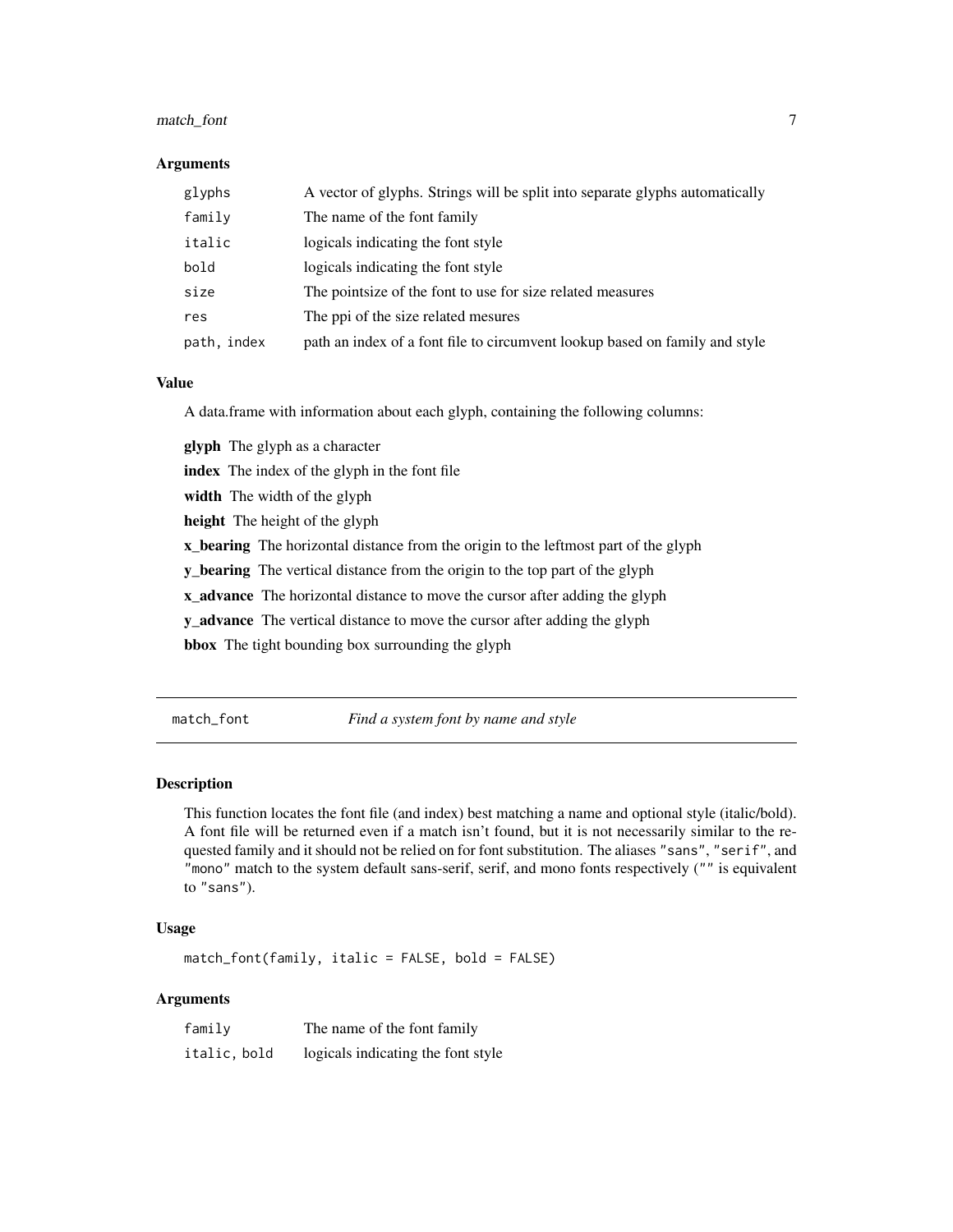# <span id="page-6-0"></span>match\_font 7

#### **Arguments**

| glyphs      | A vector of glyphs. Strings will be split into separate glyphs automatically |
|-------------|------------------------------------------------------------------------------|
| family      | The name of the font family                                                  |
| italic      | logicals indicating the font style.                                          |
| bold        | logicals indicating the font style.                                          |
| size        | The point size of the font to use for size related measures                  |
| res         | The ppi of the size related mesures                                          |
| path, index | path an index of a font file to circumvent lookup based on family and style  |

# Value

A data.frame with information about each glyph, containing the following columns:

glyph The glyph as a character index The index of the glyph in the font file width The width of the glyph height The height of the glyph x\_bearing The horizontal distance from the origin to the leftmost part of the glyph

y\_bearing The vertical distance from the origin to the top part of the glyph

x\_advance The horizontal distance to move the cursor after adding the glyph

y\_advance The vertical distance to move the cursor after adding the glyph

bbox The tight bounding box surrounding the glyph

<span id="page-6-1"></span>match\_font *Find a system font by name and style*

#### Description

This function locates the font file (and index) best matching a name and optional style (italic/bold). A font file will be returned even if a match isn't found, but it is not necessarily similar to the requested family and it should not be relied on for font substitution. The aliases "sans", "serif", and "mono" match to the system default sans-serif, serif, and mono fonts respectively ("" is equivalent to "sans").

# Usage

match\_font(family, italic = FALSE, bold = FALSE)

| family       | The name of the font family        |
|--------------|------------------------------------|
| italic, bold | logicals indicating the font style |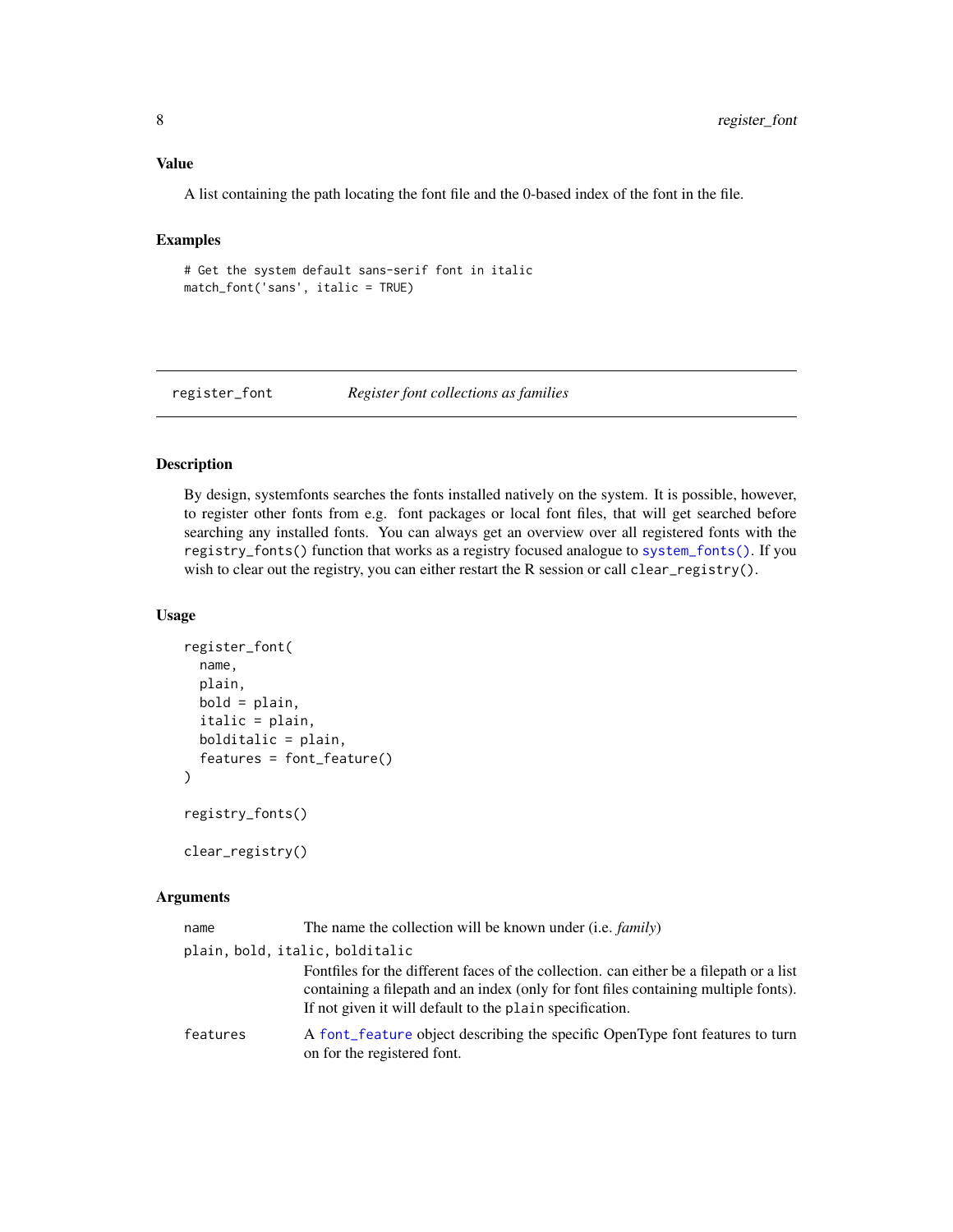#### <span id="page-7-0"></span>Value

A list containing the path locating the font file and the 0-based index of the font in the file.

# Examples

```
# Get the system default sans-serif font in italic
match_font('sans', italic = TRUE)
```
<span id="page-7-1"></span>register\_font *Register font collections as families*

#### Description

By design, systemfonts searches the fonts installed natively on the system. It is possible, however, to register other fonts from e.g. font packages or local font files, that will get searched before searching any installed fonts. You can always get an overview over all registered fonts with the registry\_fonts() function that works as a registry focused analogue to [system\\_fonts\(\)](#page-17-1). If you wish to clear out the registry, you can either restart the R session or call clear\_registry().

# Usage

```
register_font(
  name,
 plain,
 bold = plain,
  italic = plain,
 bolditalic = plain,
  features = font_feature()
\lambdaregistry_fonts()
clear_registry()
```

| name     | The name the collection will be known under (i.e. <i>family</i> )                                                                                                                                                                          |
|----------|--------------------------------------------------------------------------------------------------------------------------------------------------------------------------------------------------------------------------------------------|
|          | plain, bold, italic, bolditalic                                                                                                                                                                                                            |
|          | Fontfiles for the different faces of the collection. can either be a filepath or a list<br>containing a filepath and an index (only for font files containing multiple fonts).<br>If not given it will default to the plain specification. |
| features | A font_feature object describing the specific OpenType font features to turn<br>on for the registered font.                                                                                                                                |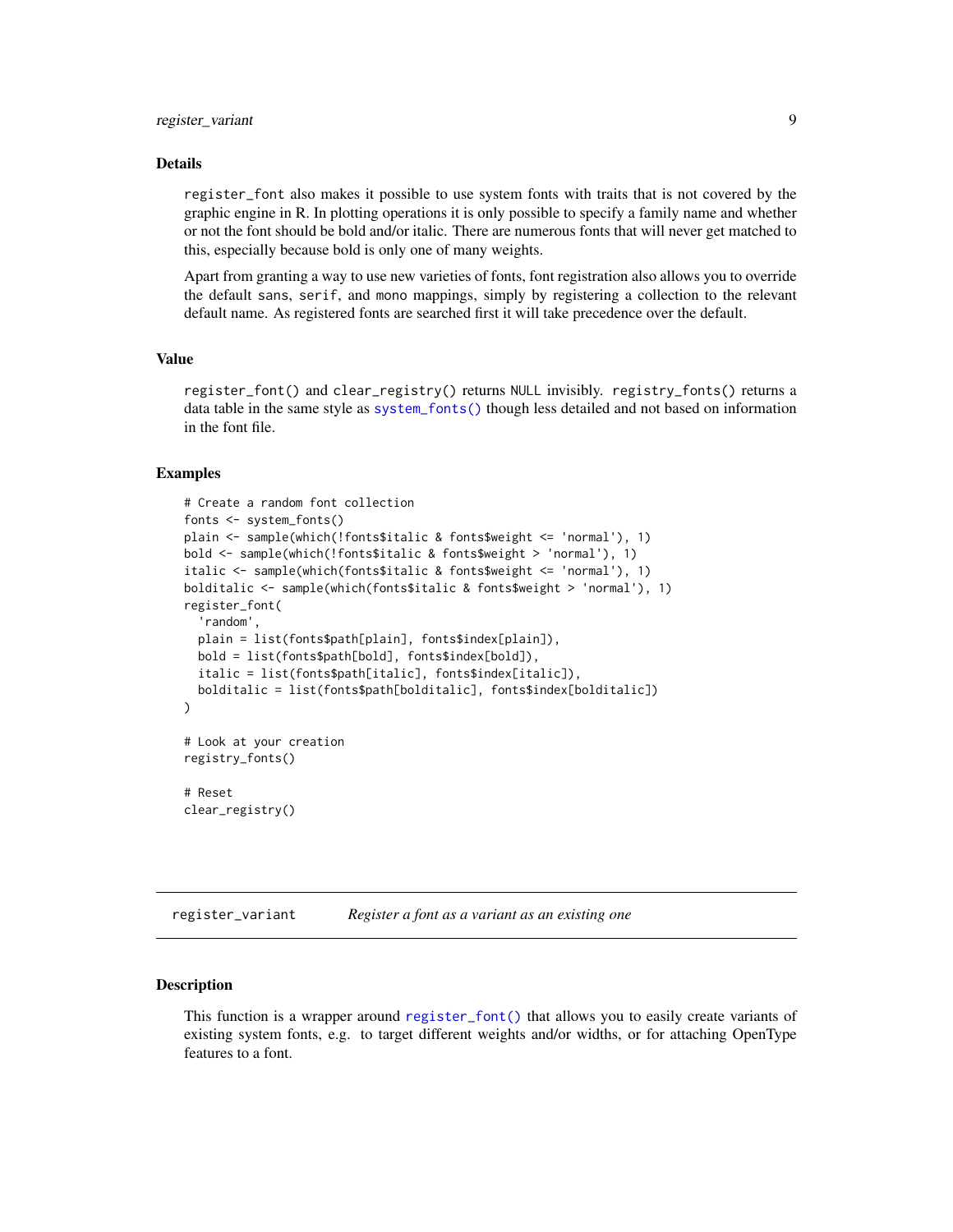#### <span id="page-8-0"></span>Details

register\_font also makes it possible to use system fonts with traits that is not covered by the graphic engine in R. In plotting operations it is only possible to specify a family name and whether or not the font should be bold and/or italic. There are numerous fonts that will never get matched to this, especially because bold is only one of many weights.

Apart from granting a way to use new varieties of fonts, font registration also allows you to override the default sans, serif, and mono mappings, simply by registering a collection to the relevant default name. As registered fonts are searched first it will take precedence over the default.

# Value

register\_font() and clear\_registry() returns NULL invisibly. registry\_fonts() returns a data table in the same style as [system\\_fonts\(\)](#page-17-1) though less detailed and not based on information in the font file.

#### Examples

```
# Create a random font collection
fonts <- system_fonts()
plain <- sample(which(!fonts$italic & fonts$weight <= 'normal'), 1)
bold <- sample(which(!fonts$italic & fonts$weight > 'normal'), 1)
italic <- sample(which(fonts$italic & fonts$weight <= 'normal'), 1)
bolditalic <- sample(which(fonts$italic & fonts$weight > 'normal'), 1)
register_font(
  'random',
 plain = list(fonts$path[plain], fonts$index[plain]),
 bold = list(fonts$path[bold], fonts$index[bold]),
 italic = list(fonts$path[italic], fonts$index[italic]),
 bolditalic = list(fonts$path[bolditalic], fonts$index[bolditalic])
)
# Look at your creation
registry_fonts()
# Reset
clear_registry()
```
register\_variant *Register a font as a variant as an existing one*

#### **Description**

This function is a wrapper around [register\\_font\(\)](#page-7-1) that allows you to easily create variants of existing system fonts, e.g. to target different weights and/or widths, or for attaching OpenType features to a font.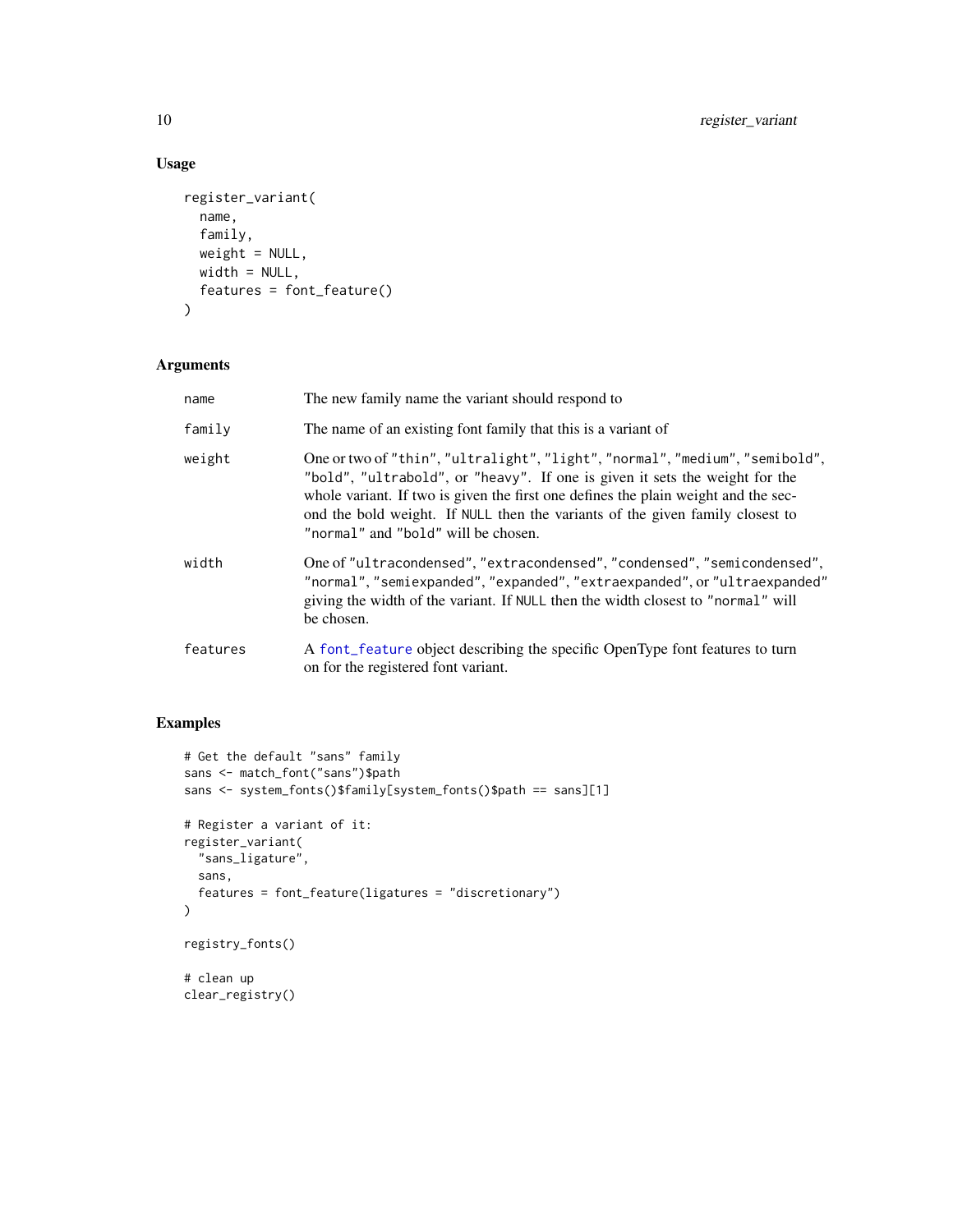# Usage

```
register_variant(
  name,
  family,
  weight = NULL,
  width = NULL,
  features = font_feature()
\mathcal{L}
```
# Arguments

| name     | The new family name the variant should respond to                                                                                                                                                                                                                                                                                                                         |
|----------|---------------------------------------------------------------------------------------------------------------------------------------------------------------------------------------------------------------------------------------------------------------------------------------------------------------------------------------------------------------------------|
| family   | The name of an existing font family that this is a variant of                                                                                                                                                                                                                                                                                                             |
| weight   | One or two of "thin", "ultralight", "light", "normal", "medium", "semibold",<br>"bold", "ultrabold", or "heavy". If one is given it sets the weight for the<br>whole variant. If two is given the first one defines the plain weight and the sec-<br>ond the bold weight. If NULL then the variants of the given family closest to<br>"normal" and "bold" will be chosen. |
| width    | One of "ultracondensed", "extracondensed", "condensed", "semicondensed",<br>"normal", "semiexpanded", "expanded", "extraexpanded", or "ultraexpanded"<br>giving the width of the variant. If NULL then the width closest to "normal" will<br>be chosen.                                                                                                                   |
| features | A font_feature object describing the specific OpenType font features to turn<br>on for the registered font variant.                                                                                                                                                                                                                                                       |

```
# Get the default "sans" family
sans <- match_font("sans")$path
sans <- system_fonts()$family[system_fonts()$path == sans][1]
# Register a variant of it:
register_variant(
  "sans_ligature",
  sans,
  features = font_feature(ligatures = "discretionary")
\mathcal{L}registry_fonts()
# clean up
clear_registry()
```
<span id="page-9-0"></span>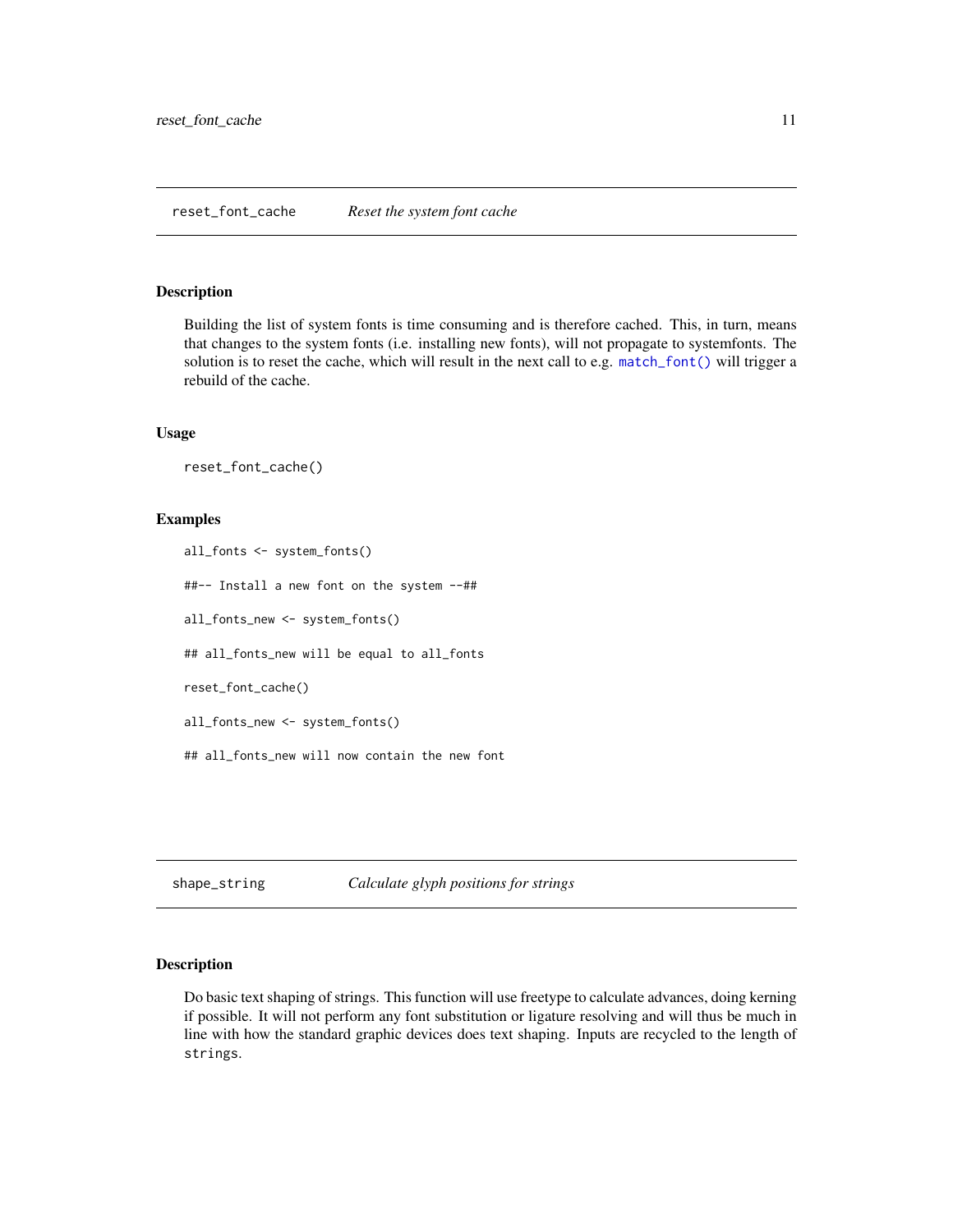<span id="page-10-0"></span>Building the list of system fonts is time consuming and is therefore cached. This, in turn, means that changes to the system fonts (i.e. installing new fonts), will not propagate to systemfonts. The solution is to reset the cache, which will result in the next call to e.g. [match\\_font\(\)](#page-6-1) will trigger a rebuild of the cache.

#### Usage

reset\_font\_cache()

#### Examples

all\_fonts <- system\_fonts() ##-- Install a new font on the system --## all\_fonts\_new <- system\_fonts() ## all\_fonts\_new will be equal to all\_fonts reset\_font\_cache() all\_fonts\_new <- system\_fonts() ## all\_fonts\_new will now contain the new font

<span id="page-10-1"></span>shape\_string *Calculate glyph positions for strings*

#### Description

Do basic text shaping of strings. This function will use freetype to calculate advances, doing kerning if possible. It will not perform any font substitution or ligature resolving and will thus be much in line with how the standard graphic devices does text shaping. Inputs are recycled to the length of strings.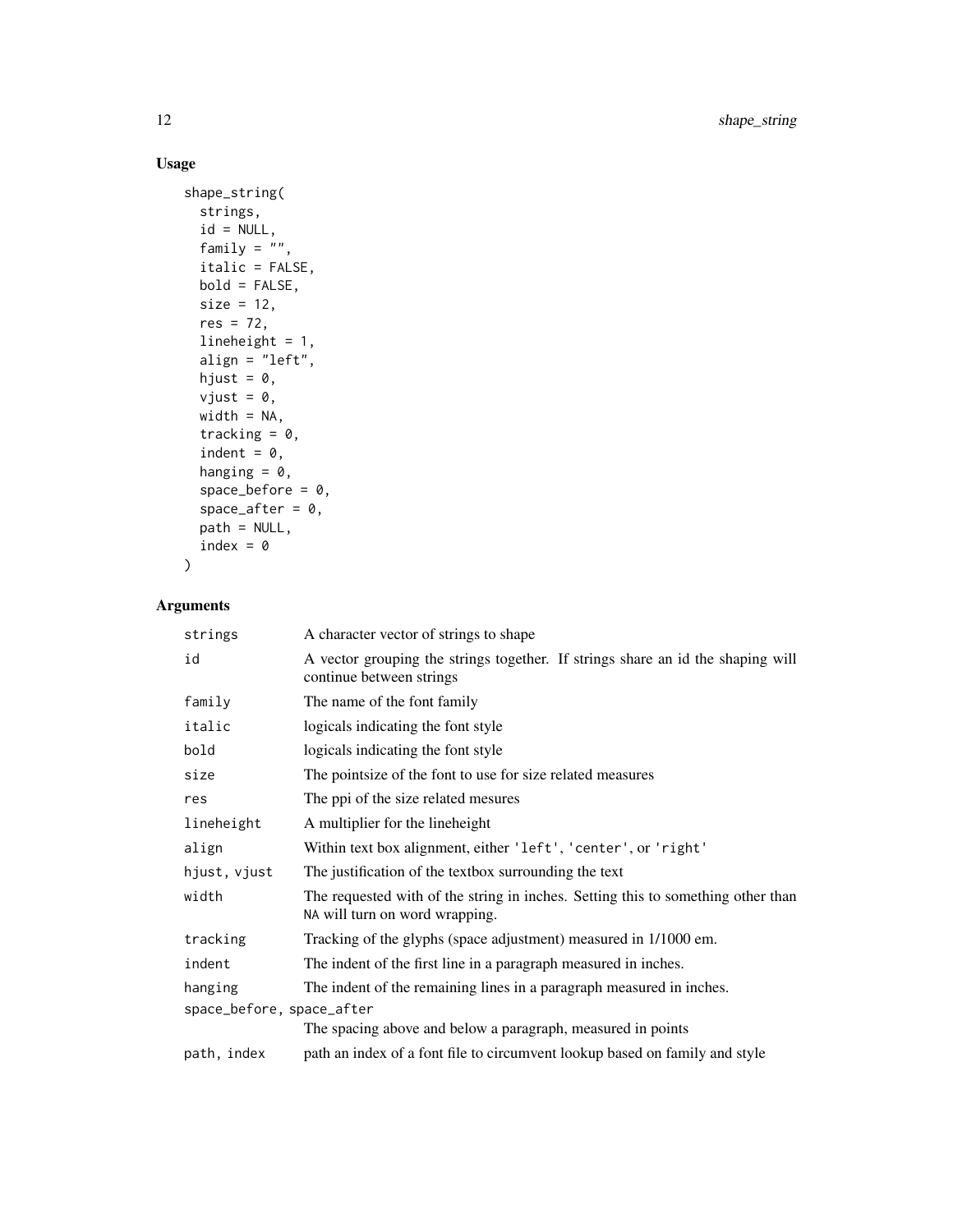# Usage

```
shape_string(
  strings,
  id = NULL,family = \overline{''''},
  italic = FALSE,
  bold = FALSE,
  size = 12,res = 72,
  lineheight = 1,
  align = "left",
  hjust = 0,
  vjust = 0,width = NA,
  tracking = 0,
  indent = 0,
  hanging = 0,
  space_before = 0,
  space_after = 0,
  path = NULL,
  index = 0\mathcal{L}
```

| strings                   | A character vector of strings to shape                                                                             |
|---------------------------|--------------------------------------------------------------------------------------------------------------------|
| id                        | A vector grouping the strings together. If strings share an id the shaping will<br>continue between strings        |
| family                    | The name of the font family                                                                                        |
| italic                    | logicals indicating the font style                                                                                 |
| bold                      | logicals indicating the font style                                                                                 |
| size                      | The pointsize of the font to use for size related measures                                                         |
| res                       | The ppi of the size related mesures                                                                                |
| lineheight                | A multiplier for the lineheight                                                                                    |
| align                     | Within text box alignment, either 'left', 'center', or 'right'                                                     |
| hjust, vjust              | The justification of the textbox surrounding the text                                                              |
| width                     | The requested with of the string in inches. Setting this to something other than<br>NA will turn on word wrapping. |
| tracking                  | Tracking of the glyphs (space adjustment) measured in 1/1000 em.                                                   |
| indent                    | The indent of the first line in a paragraph measured in inches.                                                    |
| hanging                   | The indent of the remaining lines in a paragraph measured in inches.                                               |
| space_before, space_after |                                                                                                                    |
|                           | The spacing above and below a paragraph, measured in points                                                        |
| path, index               | path an index of a font file to circumvent lookup based on family and style                                        |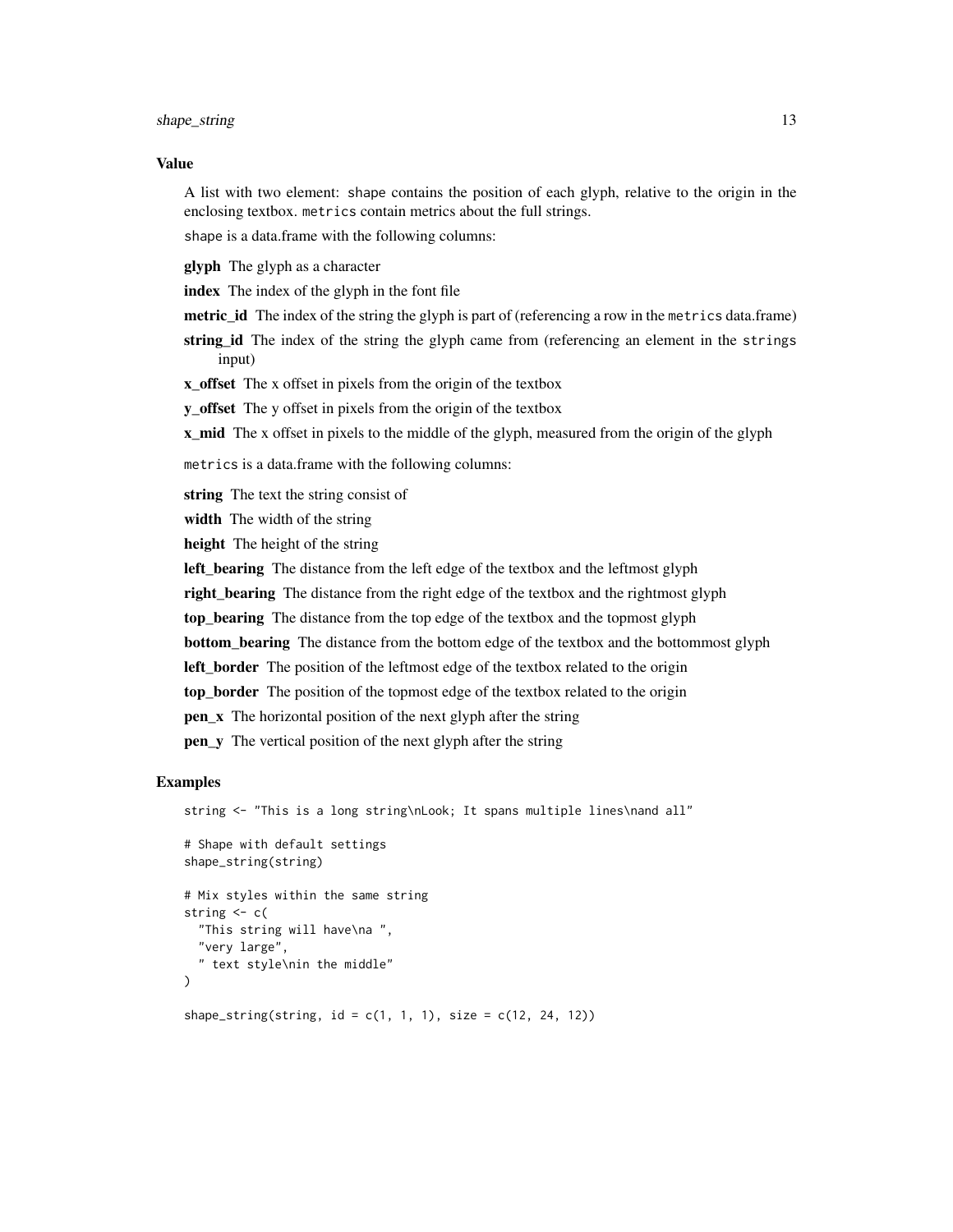#### shape\_string 13

#### Value

A list with two element: shape contains the position of each glyph, relative to the origin in the enclosing textbox. metrics contain metrics about the full strings.

shape is a data.frame with the following columns:

glyph The glyph as a character

index The index of the glyph in the font file

- metric\_id The index of the string the glyph is part of (referencing a row in the metrics data.frame)
- string id The index of the string the glyph came from (referencing an element in the strings input)

**x\_offset** The x offset in pixels from the origin of the textbox

y\_offset The y offset in pixels from the origin of the textbox

**x\_mid** The x offset in pixels to the middle of the glyph, measured from the origin of the glyph

metrics is a data.frame with the following columns:

string The text the string consist of

width The width of the string

height The height of the string

left\_bearing The distance from the left edge of the textbox and the leftmost glyph

right\_bearing The distance from the right edge of the textbox and the rightmost glyph

top bearing The distance from the top edge of the textbox and the topmost glyph

bottom\_bearing The distance from the bottom edge of the textbox and the bottommost glyph

left\_border The position of the leftmost edge of the textbox related to the origin

top\_border The position of the topmost edge of the textbox related to the origin

pen\_x The horizontal position of the next glyph after the string

pen\_y The vertical position of the next glyph after the string

#### Examples

string <- "This is a long string\nLook; It spans multiple lines\nand all"

```
# Shape with default settings
shape_string(string)
# Mix styles within the same string
string <- c(
  "This string will have\na ",
  "very large",
  " text style\nin the middle"
)
shape_string(string, id = c(1, 1, 1), size = c(12, 24, 12))
```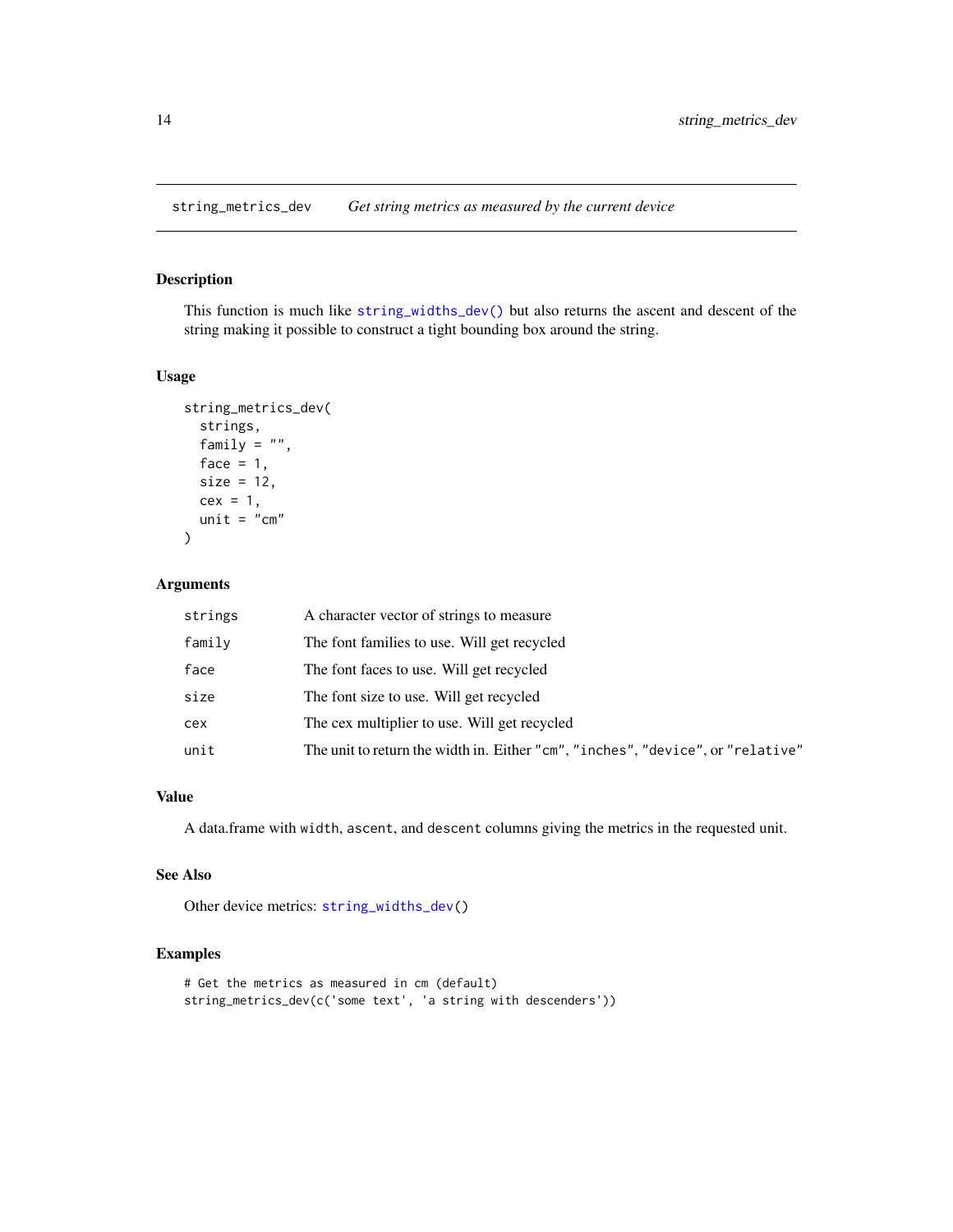<span id="page-13-1"></span><span id="page-13-0"></span>string\_metrics\_dev *Get string metrics as measured by the current device*

# Description

This function is much like [string\\_widths\\_dev\(\)](#page-15-1) but also returns the ascent and descent of the string making it possible to construct a tight bounding box around the string.

# Usage

```
string_metrics_dev(
  strings,
  family = ",
  face = 1,
  size = 12,cex = 1,
 unit = "cm"\lambda
```
# Arguments

| strings | A character vector of strings to measure                                        |
|---------|---------------------------------------------------------------------------------|
| family  | The font families to use. Will get recycled                                     |
| face    | The font faces to use. Will get recycled                                        |
| size    | The font size to use. Will get recycled                                         |
| cex     | The cex multiplier to use. Will get recycled                                    |
| unit    | The unit to return the width in. Either "cm", "inches", "device", or "relative" |

# Value

A data.frame with width, ascent, and descent columns giving the metrics in the requested unit.

#### See Also

Other device metrics: [string\\_widths\\_dev\(](#page-15-1))

```
# Get the metrics as measured in cm (default)
string_metrics_dev(c('some text', 'a string with descenders'))
```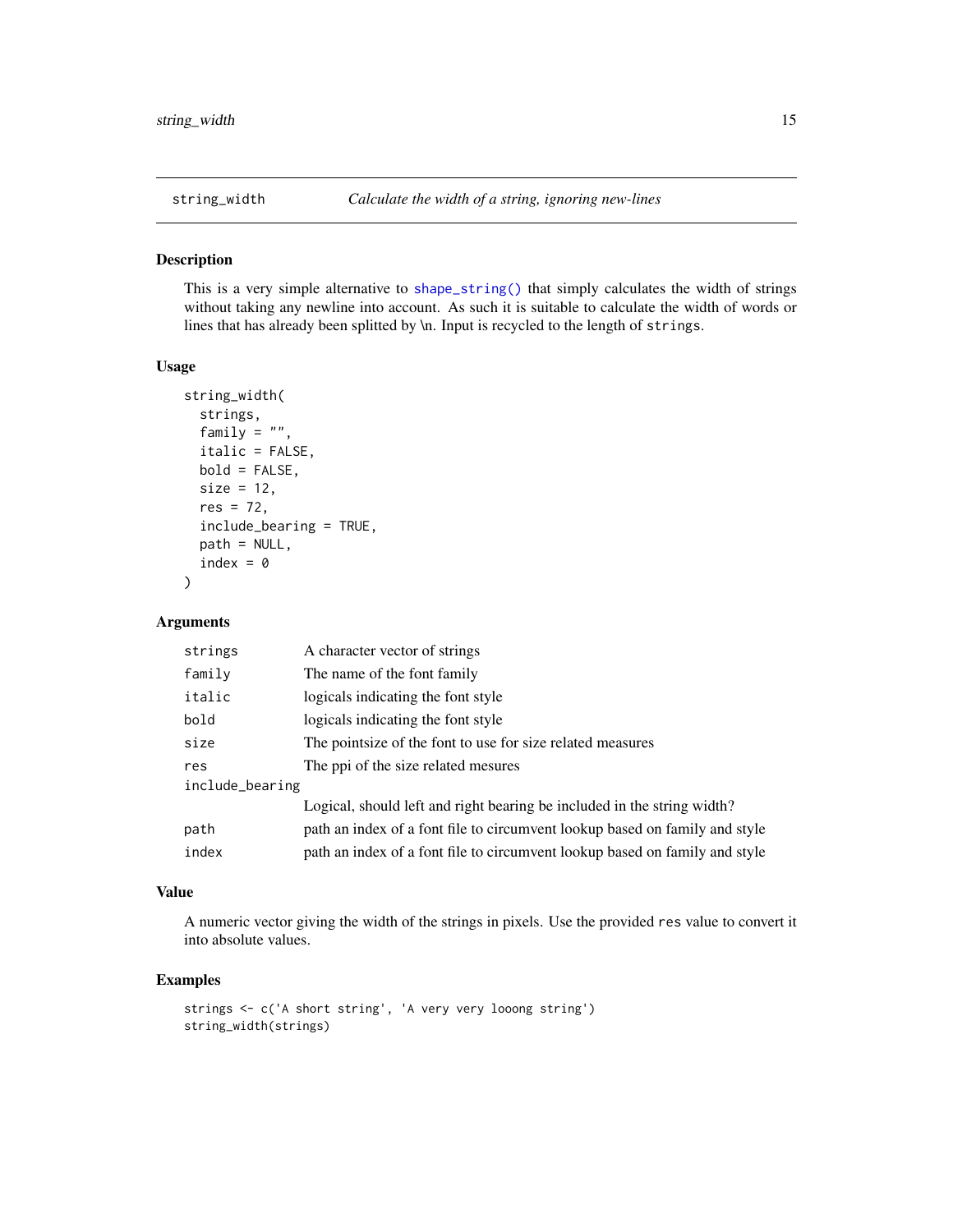<span id="page-14-0"></span>

This is a very simple alternative to [shape\\_string\(\)](#page-10-1) that simply calculates the width of strings without taking any newline into account. As such it is suitable to calculate the width of words or lines that has already been splitted by \n. Input is recycled to the length of strings.

#### Usage

```
string_width(
  strings,
 family = ",
  italic = FALSE,
 bold = FALSE,
  size = 12,res = 72,
  include_bearing = TRUE,
  path = NULL,
  index = 0)
```
# Arguments

| strings         | A character vector of strings                                               |
|-----------------|-----------------------------------------------------------------------------|
| family          | The name of the font family                                                 |
| italic          | logicals indicating the font style                                          |
| bold            | logicals indicating the font style                                          |
| size            | The point size of the font to use for size related measures                 |
| res             | The ppi of the size related mesures                                         |
| include_bearing |                                                                             |
|                 | Logical, should left and right bearing be included in the string width?     |
| path            | path an index of a font file to circumvent lookup based on family and style |
| index           | path an index of a font file to circumvent lookup based on family and style |

# Value

A numeric vector giving the width of the strings in pixels. Use the provided res value to convert it into absolute values.

```
strings <- c('A short string', 'A very very looong string')
string_width(strings)
```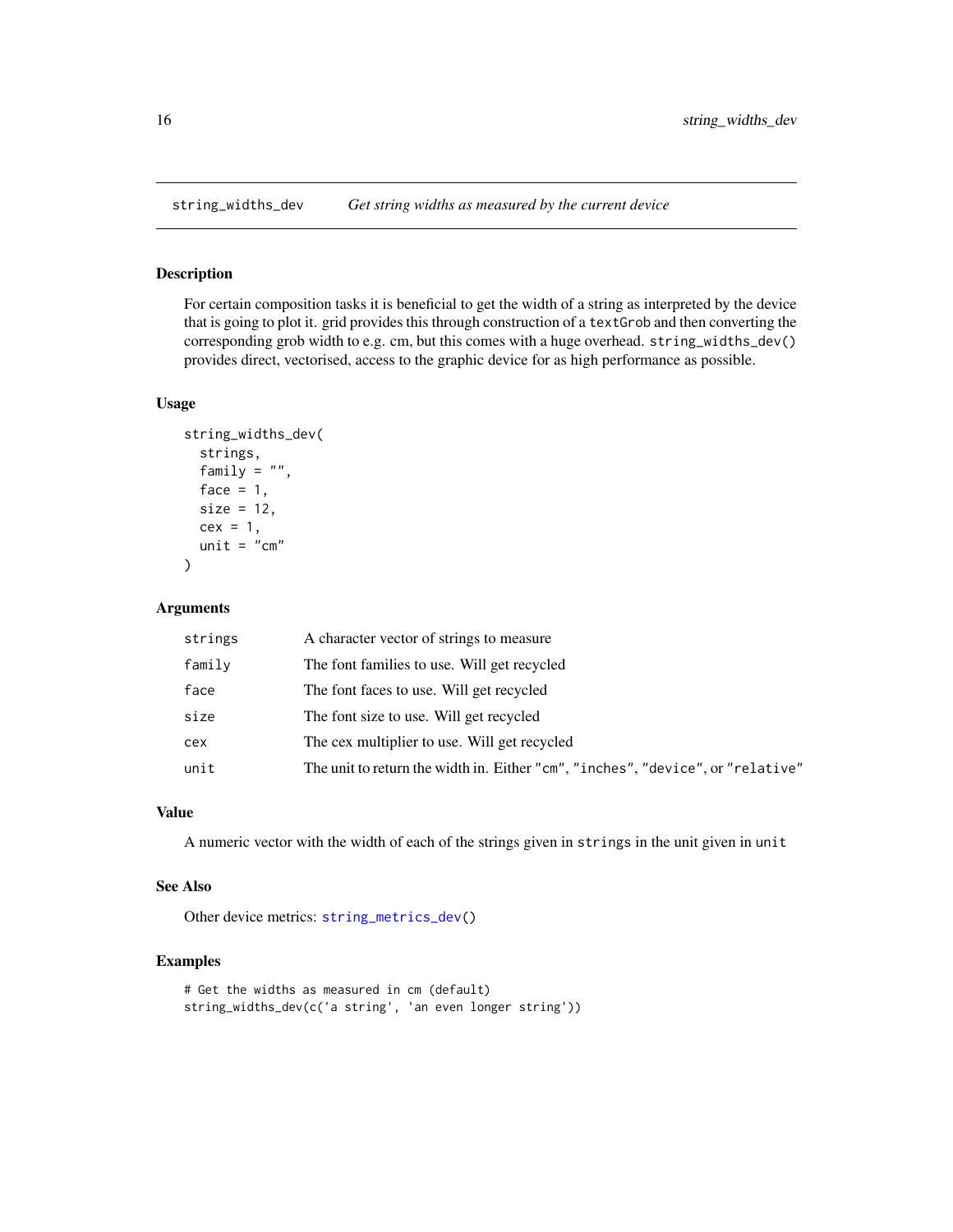<span id="page-15-1"></span><span id="page-15-0"></span>

For certain composition tasks it is beneficial to get the width of a string as interpreted by the device that is going to plot it. grid provides this through construction of a textGrob and then converting the corresponding grob width to e.g. cm, but this comes with a huge overhead. string\_widths\_dev() provides direct, vectorised, access to the graphic device for as high performance as possible.

# Usage

```
string_widths_dev(
  strings,
  family = ",
  face = 1,
  size = 12,
  cex = 1,
  unit = "cm"\mathcal{E}
```
# Arguments

| strings | A character vector of strings to measure                                        |
|---------|---------------------------------------------------------------------------------|
| family  | The font families to use. Will get recycled                                     |
| face    | The font faces to use. Will get recycled                                        |
| size    | The font size to use. Will get recycled                                         |
| cex     | The cex multiplier to use. Will get recycled                                    |
| unit    | The unit to return the width in. Either "cm", "inches", "device", or "relative" |

#### Value

A numeric vector with the width of each of the strings given in strings in the unit given in unit

#### See Also

Other device metrics: [string\\_metrics\\_dev\(](#page-13-1))

```
# Get the widths as measured in cm (default)
string_widths_dev(c('a string', 'an even longer string'))
```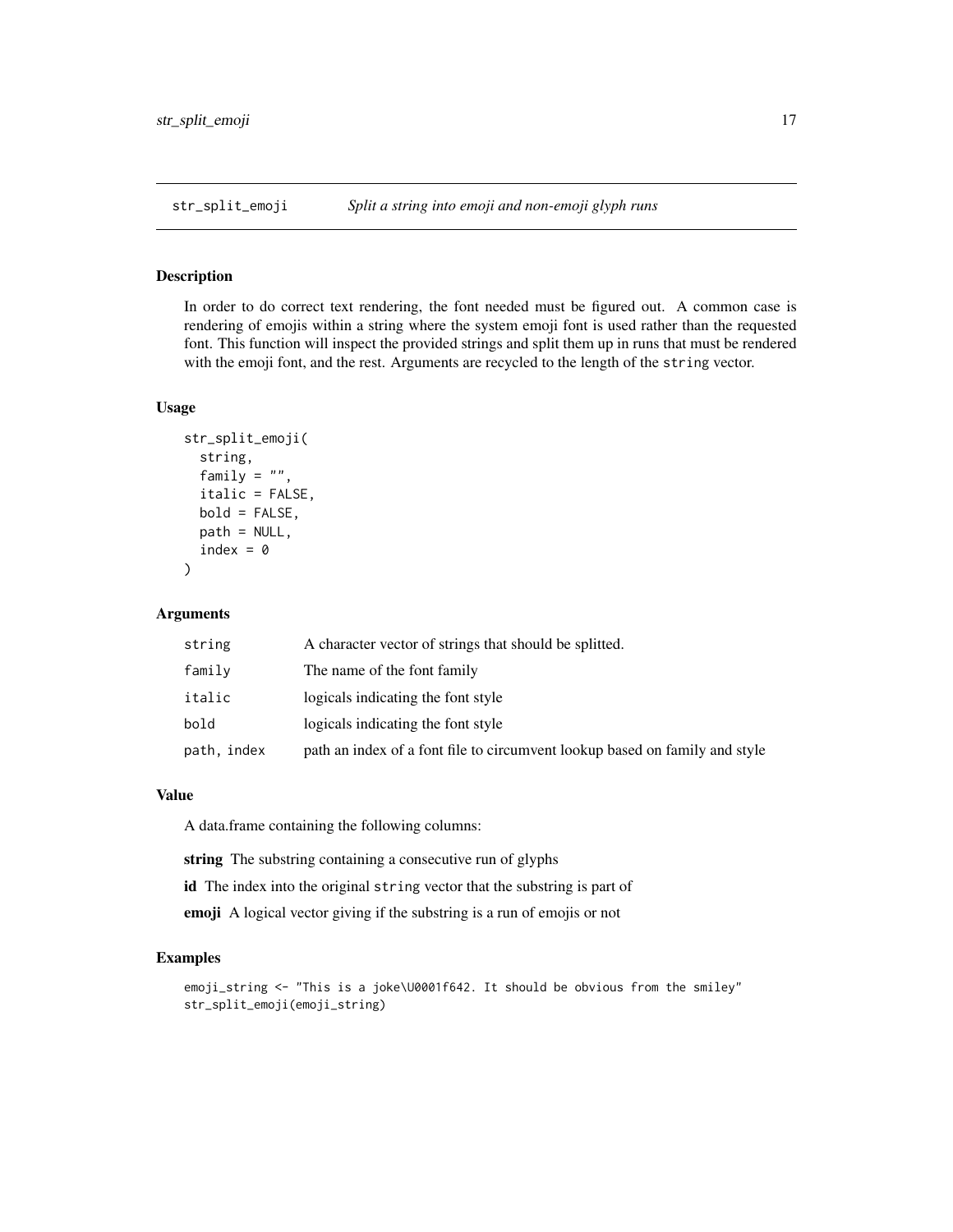<span id="page-16-0"></span>

In order to do correct text rendering, the font needed must be figured out. A common case is rendering of emojis within a string where the system emoji font is used rather than the requested font. This function will inspect the provided strings and split them up in runs that must be rendered with the emoji font, and the rest. Arguments are recycled to the length of the string vector.

#### Usage

```
str_split_emoji(
  string,
  family = ",
  italic = FALSE,
 bold = FALSE,
 path = NULL,
  index = 0)
```
# Arguments

| string      | A character vector of strings that should be splitted.                      |
|-------------|-----------------------------------------------------------------------------|
| family      | The name of the font family                                                 |
| italic      | logicals indicating the font style                                          |
| bold        | logicals indicating the font style.                                         |
| path, index | path an index of a font file to circumvent lookup based on family and style |

# Value

A data.frame containing the following columns:

string The substring containing a consecutive run of glyphs

- id The index into the original string vector that the substring is part of
- emoji A logical vector giving if the substring is a run of emojis or not

```
emoji_string <- "This is a joke\U0001f642. It should be obvious from the smiley"
str_split_emoji(emoji_string)
```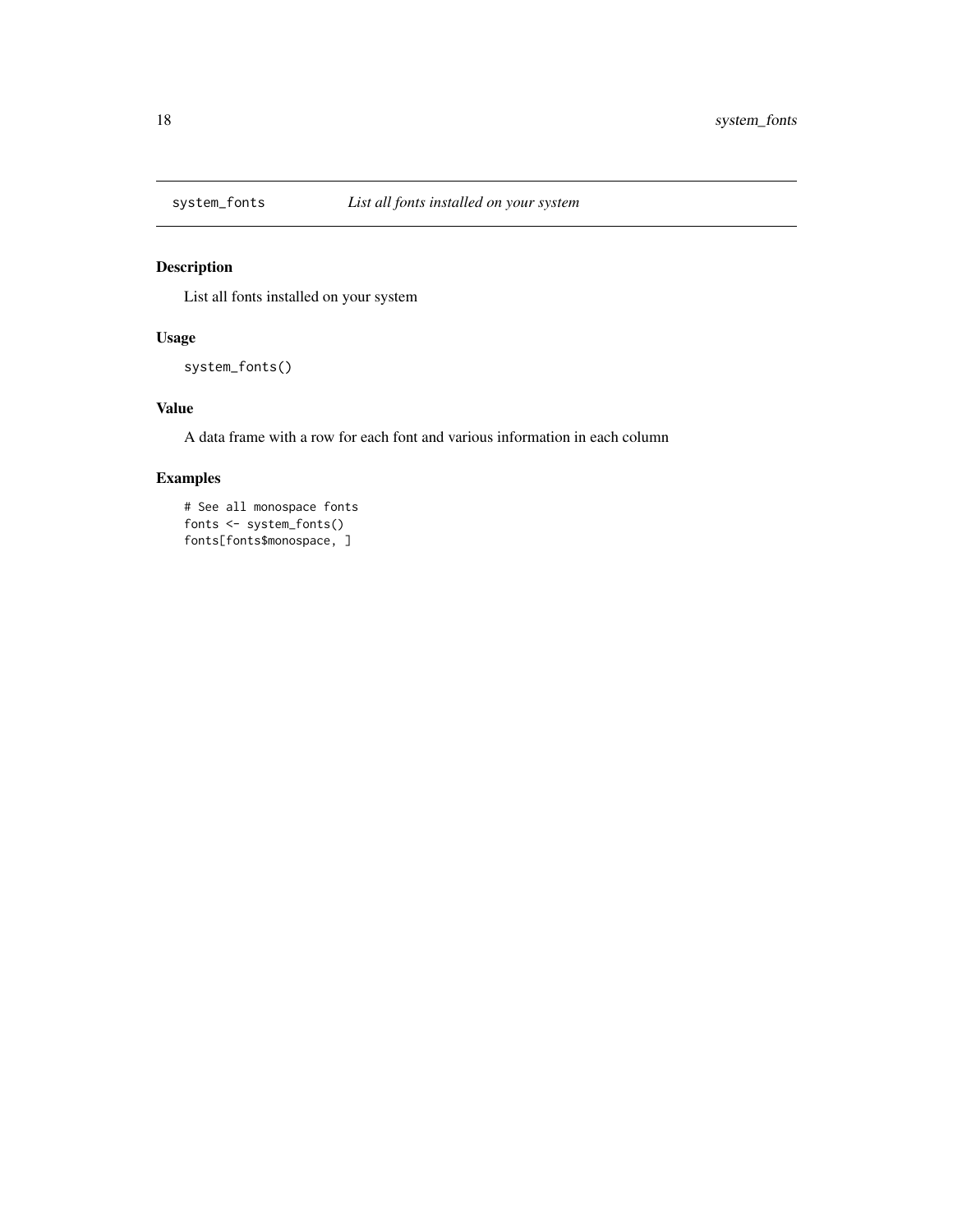<span id="page-17-1"></span><span id="page-17-0"></span>

List all fonts installed on your system

# Usage

```
system_fonts()
```
# Value

A data frame with a row for each font and various information in each column

```
# See all monospace fonts
fonts <- system_fonts()
fonts[fonts$monospace, ]
```